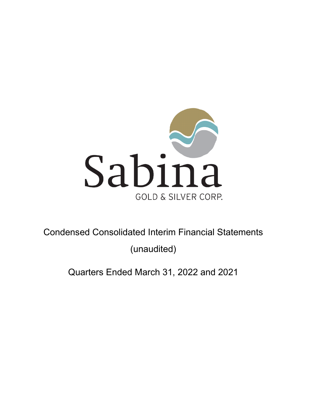

Condensed Consolidated Interim Financial Statements

(unaudited)

Quarters Ended March 31, 2022 and 2021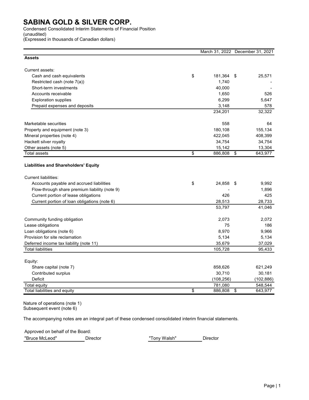Condensed Consolidated Interim Statements of Financial Position (unaudited)

(Expressed in thousands of Canadian dollars)

| <b>Assets</b><br>Current assets:<br>\$<br>Cash and cash equivalents<br>181,364<br>25,571<br>\$<br>1,740<br>Restricted cash (note 7(a))<br>40,000<br>Short-term investments<br>Accounts receivable<br>1,650<br>526<br>6,299<br><b>Exploration supplies</b><br>5,647<br>Prepaid expenses and deposits<br>3,148<br>578<br>234,201<br>32,322<br>Marketable securities<br>558<br>64<br>Property and equipment (note 3)<br>180,108<br>155,134<br>408,399<br>Mineral properties (note 4)<br>422,045<br>Hackett silver royalty<br>34,754<br>34,754<br>Other assets (note 5)<br>15,142<br>13,304<br>\$<br>643,977<br><b>Total assets</b><br>886,808<br>\$<br><b>Liabilities and Shareholders' Equity</b><br><b>Current liabilities:</b><br>\$<br>Accounts payable and accrued liabilities<br>24,858<br>9,992<br>\$<br>Flow-through share premium liability (note 9)<br>1,896<br>Current portion of lease obligations<br>426<br>425<br>Current portion of loan obligations (note 6)<br>28,513<br>28,733<br>41,046<br>53,797<br>2,072<br>Community funding obligation<br>2,073<br>Lease obligations<br>75<br>186<br>Loan obligations (note 6)<br>8,970<br>9,966<br>Provision for site reclamation<br>5,134<br>5,134<br>35,679<br>37,029<br>Deferred income tax liability (note 11)<br><b>Total liabilities</b><br>105,728<br>95,433<br>Equity:<br>Share capital (note 7)<br>858,626<br>621,249<br>Contributed surplus<br>30,710<br>30,181<br>Deficit<br>(108, 256)<br>781,080<br>548,544<br><b>Total equity</b><br>\$ |                              |         | March 31, 2022 December 31, 2021 |
|------------------------------------------------------------------------------------------------------------------------------------------------------------------------------------------------------------------------------------------------------------------------------------------------------------------------------------------------------------------------------------------------------------------------------------------------------------------------------------------------------------------------------------------------------------------------------------------------------------------------------------------------------------------------------------------------------------------------------------------------------------------------------------------------------------------------------------------------------------------------------------------------------------------------------------------------------------------------------------------------------------------------------------------------------------------------------------------------------------------------------------------------------------------------------------------------------------------------------------------------------------------------------------------------------------------------------------------------------------------------------------------------------------------------------------------------------------------------------------------------------------|------------------------------|---------|----------------------------------|
|                                                                                                                                                                                                                                                                                                                                                                                                                                                                                                                                                                                                                                                                                                                                                                                                                                                                                                                                                                                                                                                                                                                                                                                                                                                                                                                                                                                                                                                                                                            |                              |         |                                  |
|                                                                                                                                                                                                                                                                                                                                                                                                                                                                                                                                                                                                                                                                                                                                                                                                                                                                                                                                                                                                                                                                                                                                                                                                                                                                                                                                                                                                                                                                                                            |                              |         |                                  |
|                                                                                                                                                                                                                                                                                                                                                                                                                                                                                                                                                                                                                                                                                                                                                                                                                                                                                                                                                                                                                                                                                                                                                                                                                                                                                                                                                                                                                                                                                                            |                              |         |                                  |
|                                                                                                                                                                                                                                                                                                                                                                                                                                                                                                                                                                                                                                                                                                                                                                                                                                                                                                                                                                                                                                                                                                                                                                                                                                                                                                                                                                                                                                                                                                            |                              |         |                                  |
|                                                                                                                                                                                                                                                                                                                                                                                                                                                                                                                                                                                                                                                                                                                                                                                                                                                                                                                                                                                                                                                                                                                                                                                                                                                                                                                                                                                                                                                                                                            |                              |         |                                  |
|                                                                                                                                                                                                                                                                                                                                                                                                                                                                                                                                                                                                                                                                                                                                                                                                                                                                                                                                                                                                                                                                                                                                                                                                                                                                                                                                                                                                                                                                                                            |                              |         |                                  |
|                                                                                                                                                                                                                                                                                                                                                                                                                                                                                                                                                                                                                                                                                                                                                                                                                                                                                                                                                                                                                                                                                                                                                                                                                                                                                                                                                                                                                                                                                                            |                              |         |                                  |
|                                                                                                                                                                                                                                                                                                                                                                                                                                                                                                                                                                                                                                                                                                                                                                                                                                                                                                                                                                                                                                                                                                                                                                                                                                                                                                                                                                                                                                                                                                            |                              |         |                                  |
|                                                                                                                                                                                                                                                                                                                                                                                                                                                                                                                                                                                                                                                                                                                                                                                                                                                                                                                                                                                                                                                                                                                                                                                                                                                                                                                                                                                                                                                                                                            |                              |         |                                  |
|                                                                                                                                                                                                                                                                                                                                                                                                                                                                                                                                                                                                                                                                                                                                                                                                                                                                                                                                                                                                                                                                                                                                                                                                                                                                                                                                                                                                                                                                                                            |                              |         |                                  |
|                                                                                                                                                                                                                                                                                                                                                                                                                                                                                                                                                                                                                                                                                                                                                                                                                                                                                                                                                                                                                                                                                                                                                                                                                                                                                                                                                                                                                                                                                                            |                              |         |                                  |
|                                                                                                                                                                                                                                                                                                                                                                                                                                                                                                                                                                                                                                                                                                                                                                                                                                                                                                                                                                                                                                                                                                                                                                                                                                                                                                                                                                                                                                                                                                            |                              |         |                                  |
|                                                                                                                                                                                                                                                                                                                                                                                                                                                                                                                                                                                                                                                                                                                                                                                                                                                                                                                                                                                                                                                                                                                                                                                                                                                                                                                                                                                                                                                                                                            |                              |         |                                  |
|                                                                                                                                                                                                                                                                                                                                                                                                                                                                                                                                                                                                                                                                                                                                                                                                                                                                                                                                                                                                                                                                                                                                                                                                                                                                                                                                                                                                                                                                                                            |                              |         |                                  |
|                                                                                                                                                                                                                                                                                                                                                                                                                                                                                                                                                                                                                                                                                                                                                                                                                                                                                                                                                                                                                                                                                                                                                                                                                                                                                                                                                                                                                                                                                                            |                              |         |                                  |
|                                                                                                                                                                                                                                                                                                                                                                                                                                                                                                                                                                                                                                                                                                                                                                                                                                                                                                                                                                                                                                                                                                                                                                                                                                                                                                                                                                                                                                                                                                            |                              |         |                                  |
|                                                                                                                                                                                                                                                                                                                                                                                                                                                                                                                                                                                                                                                                                                                                                                                                                                                                                                                                                                                                                                                                                                                                                                                                                                                                                                                                                                                                                                                                                                            |                              |         |                                  |
|                                                                                                                                                                                                                                                                                                                                                                                                                                                                                                                                                                                                                                                                                                                                                                                                                                                                                                                                                                                                                                                                                                                                                                                                                                                                                                                                                                                                                                                                                                            |                              |         |                                  |
|                                                                                                                                                                                                                                                                                                                                                                                                                                                                                                                                                                                                                                                                                                                                                                                                                                                                                                                                                                                                                                                                                                                                                                                                                                                                                                                                                                                                                                                                                                            |                              |         |                                  |
|                                                                                                                                                                                                                                                                                                                                                                                                                                                                                                                                                                                                                                                                                                                                                                                                                                                                                                                                                                                                                                                                                                                                                                                                                                                                                                                                                                                                                                                                                                            |                              |         |                                  |
|                                                                                                                                                                                                                                                                                                                                                                                                                                                                                                                                                                                                                                                                                                                                                                                                                                                                                                                                                                                                                                                                                                                                                                                                                                                                                                                                                                                                                                                                                                            |                              |         |                                  |
|                                                                                                                                                                                                                                                                                                                                                                                                                                                                                                                                                                                                                                                                                                                                                                                                                                                                                                                                                                                                                                                                                                                                                                                                                                                                                                                                                                                                                                                                                                            |                              |         |                                  |
|                                                                                                                                                                                                                                                                                                                                                                                                                                                                                                                                                                                                                                                                                                                                                                                                                                                                                                                                                                                                                                                                                                                                                                                                                                                                                                                                                                                                                                                                                                            |                              |         |                                  |
|                                                                                                                                                                                                                                                                                                                                                                                                                                                                                                                                                                                                                                                                                                                                                                                                                                                                                                                                                                                                                                                                                                                                                                                                                                                                                                                                                                                                                                                                                                            |                              |         |                                  |
|                                                                                                                                                                                                                                                                                                                                                                                                                                                                                                                                                                                                                                                                                                                                                                                                                                                                                                                                                                                                                                                                                                                                                                                                                                                                                                                                                                                                                                                                                                            |                              |         |                                  |
|                                                                                                                                                                                                                                                                                                                                                                                                                                                                                                                                                                                                                                                                                                                                                                                                                                                                                                                                                                                                                                                                                                                                                                                                                                                                                                                                                                                                                                                                                                            |                              |         |                                  |
|                                                                                                                                                                                                                                                                                                                                                                                                                                                                                                                                                                                                                                                                                                                                                                                                                                                                                                                                                                                                                                                                                                                                                                                                                                                                                                                                                                                                                                                                                                            |                              |         |                                  |
|                                                                                                                                                                                                                                                                                                                                                                                                                                                                                                                                                                                                                                                                                                                                                                                                                                                                                                                                                                                                                                                                                                                                                                                                                                                                                                                                                                                                                                                                                                            |                              |         |                                  |
|                                                                                                                                                                                                                                                                                                                                                                                                                                                                                                                                                                                                                                                                                                                                                                                                                                                                                                                                                                                                                                                                                                                                                                                                                                                                                                                                                                                                                                                                                                            |                              |         |                                  |
|                                                                                                                                                                                                                                                                                                                                                                                                                                                                                                                                                                                                                                                                                                                                                                                                                                                                                                                                                                                                                                                                                                                                                                                                                                                                                                                                                                                                                                                                                                            |                              |         |                                  |
|                                                                                                                                                                                                                                                                                                                                                                                                                                                                                                                                                                                                                                                                                                                                                                                                                                                                                                                                                                                                                                                                                                                                                                                                                                                                                                                                                                                                                                                                                                            |                              |         |                                  |
|                                                                                                                                                                                                                                                                                                                                                                                                                                                                                                                                                                                                                                                                                                                                                                                                                                                                                                                                                                                                                                                                                                                                                                                                                                                                                                                                                                                                                                                                                                            |                              |         | (102, 886)                       |
|                                                                                                                                                                                                                                                                                                                                                                                                                                                                                                                                                                                                                                                                                                                                                                                                                                                                                                                                                                                                                                                                                                                                                                                                                                                                                                                                                                                                                                                                                                            |                              |         |                                  |
|                                                                                                                                                                                                                                                                                                                                                                                                                                                                                                                                                                                                                                                                                                                                                                                                                                                                                                                                                                                                                                                                                                                                                                                                                                                                                                                                                                                                                                                                                                            | Total liabilities and equity | 886,808 | \$<br>643,977                    |

Nature of operations (note 1) Subsequent event (note 6)

The accompanying notes are an integral part of these condensed consolidated interim financial statements.

Approved on behalf of the Board:

"Bruce McLeod" Director "Tony Walsh" Director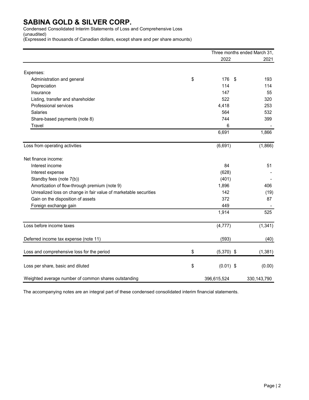Condensed Consolidated Interim Statements of Loss and Comprehensive Loss (unaudited)

(Expressed in thousands of Canadian dollars, except share and per share amounts)

|                                                                  | Three months ended March 31,           |             |
|------------------------------------------------------------------|----------------------------------------|-------------|
|                                                                  | 2022                                   | 2021        |
| Expenses:                                                        |                                        |             |
| Administration and general                                       | \$<br>$\boldsymbol{\mathsf{S}}$<br>176 | 193         |
| Depreciation                                                     | 114                                    | 114         |
| Insurance                                                        | 147                                    | 55          |
| Listing, transfer and shareholder                                | 522                                    | 320         |
| Professional services                                            | 4,418                                  | 253         |
| <b>Salaries</b>                                                  | 564                                    | 532         |
| Share-based payments (note 8)                                    | 744                                    | 399         |
| Travel                                                           | 6                                      |             |
|                                                                  | 6,691                                  | 1,866       |
| Loss from operating activities                                   | (6,691)                                | (1,866)     |
| Net finance income:                                              |                                        |             |
| Interest income                                                  | 84                                     | 51          |
| Interest expense                                                 | (628)                                  |             |
| Standby fees (note 7(b))                                         | (401)                                  |             |
| Amortization of flow-through premium (note 9)                    | 1,896                                  | 406         |
| Unrealized loss on change in fair value of marketable securities | 142                                    | (19)        |
| Gain on the disposition of assets                                | 372                                    | 87          |
| Foreign exchange gain                                            | 449                                    |             |
|                                                                  | 1,914                                  | 525         |
| Loss before income taxes                                         | (4, 777)                               | (1, 341)    |
| Deferred income tax expense (note 11)                            | (593)                                  | (40)        |
| Loss and comprehensive loss for the period                       | \$<br>$(5,370)$ \$                     | (1, 381)    |
| Loss per share, basic and diluted                                | \$<br>$(0.01)$ \$                      | (0.00)      |
| Weighted average number of common shares outstanding             | 396,615,524                            | 330,143,790 |

The accompanying notes are an integral part of these condensed consolidated interim financial statements.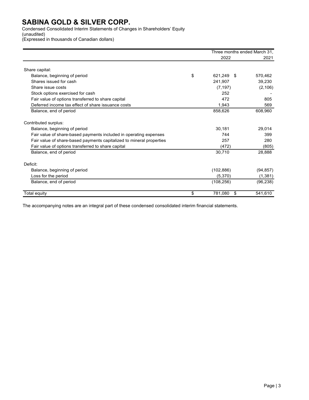Condensed Consolidated Interim Statements of Changes in Shareholders' Equity (unaudited)

(Expressed in thousands of Canadian dollars)

|                                                                      | Three months ended March 31. |           |
|----------------------------------------------------------------------|------------------------------|-----------|
|                                                                      | 2022                         | 2021      |
| Share capital:                                                       |                              |           |
| Balance, beginning of period                                         | \$<br>621,249 \$             | 570,462   |
| Shares issued for cash                                               | 241,907                      | 39,230    |
| Share issue costs                                                    | (7, 197)                     | (2, 106)  |
| Stock options exercised for cash                                     | 252                          |           |
| Fair value of options transferred to share capital                   | 472                          | 805       |
| Deferred income tax effect of share issuance costs                   | 1,943                        | 569       |
| Balance, end of period                                               | 858,626                      | 608,960   |
| Contributed surplus:                                                 |                              |           |
| Balance, beginning of period                                         | 30,181                       | 29.014    |
| Fair value of share-based payments included in operating expenses    | 744                          | 399       |
| Fair value of share-based payments capitalized to mineral properties | 257                          | 280       |
| Fair value of options transferred to share capital                   | (472)                        | (805)     |
| Balance, end of period                                               | 30,710                       | 28,888    |
| Deficit:                                                             |                              |           |
| Balance, beginning of period                                         | (102, 886)                   | (94, 857) |
| Loss for the period                                                  | (5,370)                      | (1, 381)  |
| Balance, end of period                                               | (108, 256)                   | (96, 238) |
| Total equity                                                         | \$<br>781,080<br>\$          | 541,610   |

The accompanying notes are an integral part of these condensed consolidated interim financial statements.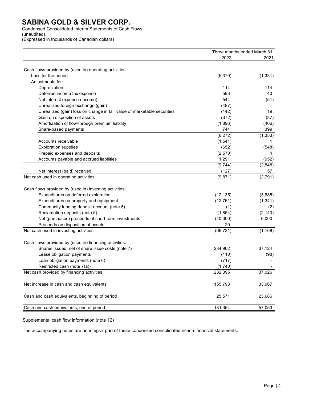Condensed Consolidated Interim Statements of Cash Flows (unaudited)

(Expressed in thousands of Canadian dollars)

|                                                                         | Three months ended March 31, |                          |
|-------------------------------------------------------------------------|------------------------------|--------------------------|
|                                                                         | 2022                         | 2021                     |
| Cash flows provided by (used in) operating activities:                  |                              |                          |
| Loss for the period                                                     | (5,370)                      | (1, 381)                 |
| Adjustments for:                                                        |                              |                          |
| Depreciation                                                            | 114                          | 114                      |
| Deferred income tax expense                                             | 593                          | 40                       |
| Net interest expense (income)                                           | 544                          | (51)                     |
| Unrealized foreign exchange (gain)                                      | (487)                        |                          |
| Unrealized (gain) loss on change in fair value of marketable securities | (142)                        | 19                       |
| Gain on disposition of assets                                           | (372)                        | (87)                     |
| Amortization of flow-through premium liability                          | (1,896)                      | (406)                    |
|                                                                         | 744                          | 399                      |
| Share-based payments                                                    | (6, 272)                     |                          |
| Accounts receivable                                                     | (1, 541)                     | (1, 353)<br>$\mathbf{1}$ |
|                                                                         |                              |                          |
| <b>Exploration supplies</b>                                             | (652)                        | (548)                    |
| Prepaid expenses and deposits                                           | (2,570)                      | 4                        |
| Accounts payable and accrued liabilities                                | 1,291                        | (952)                    |
|                                                                         | (9,744)                      | (2,848)                  |
| Net interest (paid) received<br>Net cash used in operating activities   | (127)                        | 57                       |
|                                                                         | (9,871)                      | (2,791)                  |
| Cash flows provided by (used in) investing activities:                  |                              |                          |
| Expenditures on deferred exploration                                    | (12, 135)                    | (3,685)                  |
| Expenditures on property and equipment                                  | (12, 761)                    | (1, 341)                 |
| Community funding deposit account (note 5)                              | (1)                          | (2)                      |
| Reclamation deposits (note 5)                                           | (1, 854)                     | (2, 140)                 |
| Net (purchases) proceeds of short-term investments                      | (40,000)                     | 6,000                    |
| Proceeds on disposition of assets                                       | 20                           |                          |
| Net cash used in investing activities                                   | (66, 731)                    | (1, 168)                 |
| Cash flows provided by (used in) financing activities:                  |                              |                          |
| Shares issued, net of share issue costs (note 7)                        | 234,962                      | 37,124                   |
| Lease obligation payments                                               | (110)                        | (98)                     |
| Loan obligation payments (note 6)                                       | (717)                        |                          |
| Restricted cash (note 7(a))                                             | (1,740)                      |                          |
| Net cash provided by financing activities                               | 232,395                      | 37,026                   |
|                                                                         |                              |                          |
| Net increase in cash and cash equivalents                               | 155,793                      | 33,067                   |
| Cash and cash equivalents, beginning of period                          | 25,571                       | 23,986                   |
| Cash and cash equivalents, end of period                                | 181,364                      | 57,053                   |

Supplemental cash flow information (note 12)

The accompanying notes are an integral part of these condensed consolidated interim financial statements.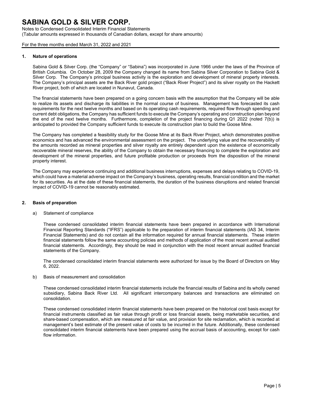Notes to Condensed Consolidated Interim Financial Statements (Tabular amounts expressed in thousands of Canadian dollars, except for share amounts)

For the three months ended March 31, 2022 and 2021

#### **1. Nature of operations**

Sabina Gold & Silver Corp. (the "Company" or "Sabina") was incorporated in June 1966 under the laws of the Province of British Columbia. On October 28, 2009 the Company changed its name from Sabina Silver Corporation to Sabina Gold & Silver Corp. The Company's principal business activity is the exploration and development of mineral property interests. The Company's principal assets are the Back River gold project ("Back River Project") and its silver royalty on the Hackett River project, both of which are located in Nunavut, Canada.

The financial statements have been prepared on a going concern basis with the assumption that the Company will be able to realize its assets and discharge its liabilities in the normal course of business. Management has forecasted its cash requirements for the next twelve months and based on its operating cash requirements, required flow through spending and current debt obligations, the Company has sufficient funds to execute the Company's operating and construction plan beyond the end of the next twelve months. Furthermore, completion of the project financing during Q1 2022 (noted 7(b)) is anticipated to provided the Company sufficient funds to execute its construction plan to build the Goose Mine.

The Company has completed a feasibility study for the Goose Mine at its Back River Project, which demonstrates positive economics and has advanced the environmental assessment on the project. The underlying value and the recoverability of the amounts recorded as mineral properties and silver royalty are entirely dependent upon the existence of economically recoverable mineral reserves, the ability of the Company to obtain the necessary financing to complete the exploration and development of the mineral properties, and future profitable production or proceeds from the disposition of the mineral property interest.

The Company may experience continuing and additional business interruptions, expenses and delays relating to COVID-19, which could have a material adverse impact on the Company's business, operating results, financial condition and the market for its securities. As at the date of these financial statements, the duration of the business disruptions and related financial impact of COVID-19 cannot be reasonably estimated.

#### **2. Basis of preparation**

a) Statement of compliance

These condensed consolidated interim financial statements have been prepared in accordance with International Financial Reporting Standards ("IFRS") applicable to the preparation of interim financial statements (IAS 34, Interim Financial Statements) and do not contain all the information required for annual financial statements. These interim financial statements follow the same accounting policies and methods of application of the most recent annual audited financial statements. Accordingly, they should be read in conjunction with the most recent annual audited financial statements of the Company.

The condensed consolidated interim financial statements were authorized for issue by the Board of Directors on May 6, 2022.

b) Basis of measurement and consolidation

These condensed consolidated interim financial statements include the financial results of Sabina and its wholly owned subsidiary, Sabina Back River Ltd. All significant intercompany balances and transactions are eliminated on consolidation.

These condensed consolidated interim financial statements have been prepared on the historical cost basis except for financial instruments classified as fair value through profit or loss financial assets, being marketable securities, and share-based compensation, which are measured at fair value, and provision for site reclamation, which is recorded at management's best estimate of the present value of costs to be incurred in the future. Additionally, these condensed consolidated interim financial statements have been prepared using the accrual basis of accounting, except for cash flow information.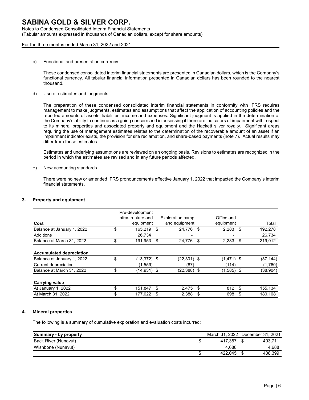## Notes to Condensed Consolidated Interim Financial Statements

(Tabular amounts expressed in thousands of Canadian dollars, except for share amounts)

#### For the three months ended March 31, 2022 and 2021

c) Functional and presentation currency

These condensed consolidated interim financial statements are presented in Canadian dollars, which is the Company's functional currency. All tabular financial information presented in Canadian dollars has been rounded to the nearest thousand.

d) Use of estimates and judgments

The preparation of these condensed consolidated interim financial statements in conformity with IFRS requires management to make judgments, estimates and assumptions that affect the application of accounting policies and the reported amounts of assets, liabilities, income and expenses. Significant judgment is applied in the determination of the Company's ability to continue as a going concern and in assessing if there are indicators of impairment with respect to its mineral properties and associated property and equipment and the Hackett silver royalty. Significant areas requiring the use of management estimates relates to the determination of the recoverable amount of an asset if an impairment indicator exists, the provision for site reclamation, and share-based payments (note 7). Actual results may differ from these estimates.

Estimates and underlying assumptions are reviewed on an ongoing basis. Revisions to estimates are recognized in the period in which the estimates are revised and in any future periods affected.

e) New accounting standards

There were no new or amended IFRS pronouncements effective January 1, 2022 that impacted the Company's interim financial statements.

#### **3. Property and equipment**

|                                 | Pre-development     |                  |              |               |
|---------------------------------|---------------------|------------------|--------------|---------------|
|                                 | infrastructure and  | Exploration camp | Office and   |               |
| Cost                            | equipment           | and equipment    | equipment    | Total         |
| Balance at January 1, 2022      | \$<br>165.219       | \$<br>24.776     | \$<br>2,283  | \$<br>192,278 |
| Additions                       | 26.734              | -                |              | 26,734        |
| Balance at March 31, 2022       | \$<br>191,953       | \$<br>24.776     | \$<br>2,283  | \$<br>219,012 |
| <b>Accumulated depreciation</b> |                     |                  |              |               |
| Balance at January 1, 2022      | \$<br>$(13,372)$ \$ | $(22,301)$ \$    | $(1,471)$ \$ | (37,144)      |
| Current depreciation            | (1.559)             | (87)             | (114)        | (1,760)       |
| Balance at March 31, 2022       | \$<br>(14,931) \$   | $(22,388)$ \$    | $(1,585)$ \$ | (38, 904)     |
| <b>Carrying value</b>           |                     |                  |              |               |
| At January 1, 2022              | 151.847             | \$<br>2.475      | \$<br>812    | \$<br>155,134 |
| At March 31, 2022               | \$<br>177,022       | \$<br>2,388      | \$<br>698    | \$<br>180.108 |

#### **4. Mineral properties**

The following is a summary of cumulative exploration and evaluation costs incurred:

| Summary - by property |   | March 31, 2022 December 31, 2021 |         |
|-----------------------|---|----------------------------------|---------|
| Back River (Nunavut)  |   | 417.357                          | 403.711 |
| Wishbone (Nunavut)    |   | 4.688                            | 4.688   |
|                       | Φ | 422.045                          | 408.399 |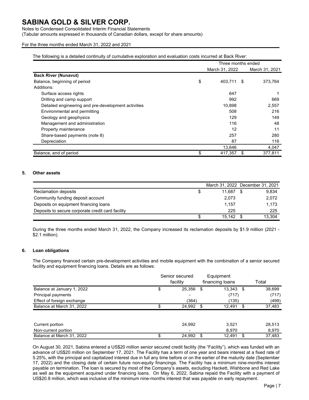#### Notes to Condensed Consolidated Interim Financial Statements

(Tabular amounts expressed in thousands of Canadian dollars, except for share amounts)

#### For the three months ended March 31, 2022 and 2021

The following is a detailed continuity of cumulative exploration and evaluation costs incurred at Back River:

|                                                     | Three months ended |                |      |                |
|-----------------------------------------------------|--------------------|----------------|------|----------------|
|                                                     |                    | March 31, 2022 |      | March 31, 2021 |
| <b>Back River (Nunavut)</b>                         |                    |                |      |                |
| Balance, beginning of period                        | \$                 | 403,711        | - \$ | 373,764        |
| Additions:                                          |                    |                |      |                |
| Surface access rights                               |                    | 647            |      |                |
| Drilling and camp support                           |                    | 992            |      | 669            |
| Detailed engineering and pre-development activities |                    | 10,898         |      | 2,557          |
| Environmental and permitting                        |                    | 508            |      | 216            |
| Geology and geophysics                              |                    | 129            |      | 149            |
| Management and administration                       |                    | 116            |      | 48             |
| Property maintenance                                |                    | 12             |      | 11             |
| Share-based payments (note 8)                       |                    | 257            |      | 280            |
| Depreciation                                        |                    | 87             |      | 116            |
|                                                     |                    | 13,646         |      | 4,047          |
| Balance, end of period                              | \$                 | 417,357        |      | 377,811        |

#### **5. Other assets**

|                                                   | March 31, 2022 December 31, 2021 |        |
|---------------------------------------------------|----------------------------------|--------|
| Reclamation deposits                              | 11.687                           | 9.834  |
| Community funding deposit account                 | 2.073                            | 2,072  |
| Deposits on equipment financing loans             | 1.157                            | 1.173  |
| Deposits to secure corporate credit card facility | 225                              | 225    |
|                                                   | 15.142                           | 13.304 |

During the three months ended March 31, 2022, the Company increased its reclamation deposits by \$1.9 million (2021 - \$2.1 million).

#### **6. Loan obligations**

The Company financed certain pre-development activities and mobile equipment with the combination of a senior secured facility and equipment financing loans. Details are as follows:

|                            | Senior secured<br>facility |      | Equipment<br>financing loans |   | Total  |
|----------------------------|----------------------------|------|------------------------------|---|--------|
| Balance at January 1, 2022 | \$<br>25,356               | - \$ | 13,343                       | S | 38,699 |
| Principal payments         | -                          |      | (717)                        |   | (717)  |
| Effect of foreign exchange | (364)                      |      | (135)                        |   | (499)  |
| Balance at March 31, 2022  | 24,992 \$                  |      | 12,491                       | S | 37,483 |
|                            |                            |      |                              |   |        |
| Current portion            | 24.992                     |      | 3,521                        |   | 28,513 |
| Non-current portion        | -                          |      | 8,970                        |   | 8,970  |
| Balance at March 31, 2022  | \$<br>24.992               | - \$ | 12.491                       | S | 37.483 |

On August 30, 2021, Sabina entered a US\$20 million senior secured credit facility (the "Facility"), which was funded with an advance of US\$20 million on September 17, 2021. The Facility has a term of one year and bears interest at a fixed rate of 5.25%, with the principal and capitalized interest due in full any time before or on the earlier of the maturity date (September 17, 2022) and the closing date of certain future non-equity financings. The Facility has a minimum nine-months interest payable on termination. The loan is secured by most of the Company's assets, excluding Hackett, Wishbone and Red Lake as well as the equipment acquired under financing loans. On May 6, 2022, Sabina repaid the Facility with a payment of US\$20.8 million, which was inclusive of the minimum nine-months interest that was payable on early repayment.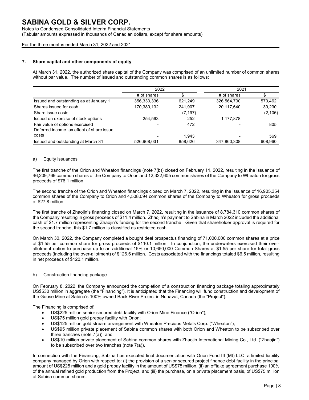Notes to Condensed Consolidated Interim Financial Statements

(Tabular amounts expressed in thousands of Canadian dollars, except for share amounts)

For the three months ended March 31, 2022 and 2021

#### **7. Share capital and other components of equity**

At March 31, 2022, the authorized share capital of the Company was comprised of an unlimited number of common shares without par value. The number of issued and outstanding common shares is as follows:

|                                           | 2022          |          | 2021        |          |
|-------------------------------------------|---------------|----------|-------------|----------|
|                                           | $#$ of shares |          | # of shares |          |
| Issued and outstanding as at January 1    | 356,333,336   | 621,249  | 326,564,790 | 570,462  |
| Shares issued for cash                    | 170,380,132   | 241,907  | 20,117,640  | 39,230   |
| Share issue costs                         |               | (7, 197) |             | (2, 106) |
| Issued on exercise of stock options       | 254.563       | 252      | 1,177,878   |          |
| Fair value of options exercised           |               | 472      |             | 805      |
| Deferred income tax effect of share issue |               |          |             |          |
| costs                                     |               | 1.943    |             | 569      |
| Issued and outstanding at March 31        | 526,968,031   | 858,626  | 347,860,308 | 608.960  |

#### a) Equity issuances

The first tranche of the Orion and Wheaton financings (note 7(b)) closed on February 11, 2022, resulting in the issuance of 46,209,769 common shares of the Company to Orion and 12,322,605 common shares of the Company to Wheaton for gross proceeds of \$76.1 million.

The second tranche of the Orion and Wheaton financings closed on March 7, 2022, resulting in the issuance of 16,905,354 common shares of the Company to Orion and 4,508,094 common shares of the Company to Wheaton for gross proceeds of \$27.8 million.

The first tranche of Zhaojin's financing closed on March 7, 2022, resulting in the issuance of 8,784,310 common shares of the Company resulting in gross proceeds of \$11.4 million. Zhaojin's payment to Sabina in March 2022 included the additional cash of \$1.7 million representing Zhaojin's funding for the second tranche. Given that shareholder approval is required for the second tranche, this \$1.7 million is classified as restricted cash.

On March 30, 2022, the Company completed a bought deal prospectus financing of 71,000,000 common shares at a price of \$1.55 per common share for gross proceeds of \$110.1 million. In conjunction, the underwriters exercised their overallotment option to purchase up to an additional 15% or 10,650,000 Common Shares at \$1.55 per share for total gross proceeds (including the over-allotment) of \$126.6 million. Costs associated with the financings totaled \$6.5 million, resulting in net proceeds of \$120.1 million.

#### b) Construction financing package

On February 8, 2022, the Company announced the completion of a construction financing package totaling approximately US\$530 million in aggregate (the "Financing"). It is anticipated that the Financing will fund construction and development of the Goose Mine at Sabina's 100% owned Back River Project in Nunavut, Canada (the "Project").

The Financing is comprised of:

- US\$225 million senior secured debt facility with Orion Mine Finance ("Orion");
- US\$75 million gold prepay facility with Orion;
- US\$125 million gold stream arrangement with Wheaton Precious Metals Corp. ("Wheaton");
- US\$95 million private placement of Sabina common shares with both Orion and Wheaton to be subscribed over three tranches (note 7(a)); and
- US\$10 million private placement of Sabina common shares with Zhaojin International Mining Co., Ltd. ("Zhaojin") to be subscribed over two tranches (note 7(a)).

In connection with the Financing, Sabina has executed final documentation with Orion Fund III (Mt) LLC, a limited liability company managed by Orion with respect to: (i) the provision of a senior secured project finance debt facility in the principal amount of US\$225 million and a gold prepay facility in the amount of US\$75 million, (ii) an offtake agreement purchase 100% of the annual refined gold production from the Project, and (iii) the purchase, on a private placement basis, of US\$75 million of Sabina common shares.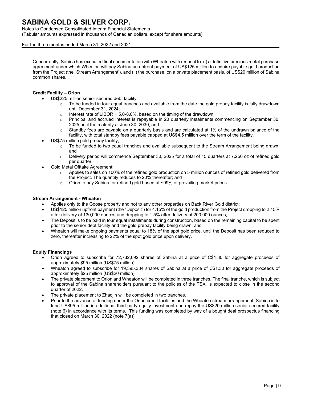### Notes to Condensed Consolidated Interim Financial Statements

(Tabular amounts expressed in thousands of Canadian dollars, except for share amounts)

#### For the three months ended March 31, 2022 and 2021

Concurrently, Sabina has executed final documentation with Wheaton with respect to: (i) a definitive precious metal purchase agreement under which Wheaton will pay Sabina an upfront payment of US\$125 million to acquire payable gold production from the Project (the "Stream Arrangement'), and (ii) the purchase, on a private placement basis, of US\$20 million of Sabina common shares.

#### **Credit Facility – Orion**

- US\$225 million senior secured debt facility;
	- To be funded in four equal tranches and available from the date the gold prepay facility is fully drawdown until December 31, 2024;
	- o Interest rate of LIBOR + 5.0-8.0%, based on the timing of the drawdown;
	- o Principal and accrued interest is repayable in 20 quarterly instalments commencing on September 30, 2025 until the maturity at June 30, 2030; and
	- $\circ$  Standby fees are payable on a quarterly basis and are calculated at 1% of the undrawn balance of the facility, with total standby fees payable capped at US\$4.5 million over the term of the facility.
- US\$75 million gold prepay facility;
	- $\circ$  To be funded to two equal tranches and available subsequent to the Stream Arrangement being drawn; and
	- o Delivery period will commence September 30, 2025 for a total of 15 quarters at 7,250 oz of refined gold per quarter.
- Gold Metal Offtake Agreement;
	- o Applies to sales on 100% of the refined gold production on 5 million ounces of refined gold delivered from the Project. The quantity reduces to 20% thereafter; and
	- o Orion to pay Sabina for refined gold based at ~99% of prevailing market prices.

#### **Stream Arrangement - Wheaton**

- Applies only to the Goose property and not to any other properties on Back River Gold district;
- US\$125 million upfront payment (the "Deposit") for 4.15% of the gold production from the Project dropping to 2.15% after delivery of 130,000 ounces and dropping to 1.5% after delivery of 200,000 ounces;
- The Deposit is to be paid in four equal installments during construction, based on the remaining capital to be spent prior to the senior debt facility and the gold prepay facility being drawn; and
- Wheaton will make ongoing payments equal to 18% of the spot gold price, until the Deposit has been reduced to zero, thereafter increasing to 22% of the spot gold price upon delivery.

#### **Equity Financings**

- Orion agreed to subscribe for 72,732,692 shares of Sabina at a price of C\$1.30 for aggregate proceeds of approximately \$95 million (US\$75 million).
- Wheaton agreed to subscribe for 19,395,384 shares of Sabina at a price of C\$1.30 for aggregate proceeds of approximately \$25 million (US\$20 million).
- The private placement to Orion and Wheaton will be completed in three tranches. The final tranche, which is subject to approval of the Sabina shareholders pursuant to the policies of the TSX, is expected to close in the second quarter of 2022.
- The private placement to Zhaojin will be completed in two tranches.
- Prior to the advance of funding under the Orion credit facilities and the Wheaton stream arrangement, Sabina is to fund US\$95 million in additional third-party equity investment and repay the US\$20 million senior secured facility (note 6) in accordance with its terms. This funding was completed by way of a bought deal prospectus financing that closed on March 30, 2022 (note 7(a)).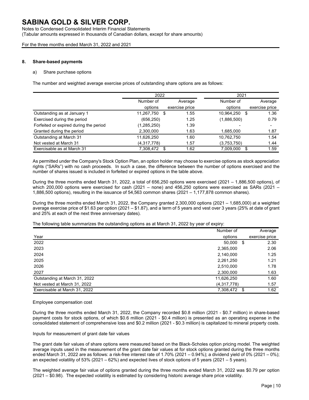# Notes to Condensed Consolidated Interim Financial Statements

(Tabular amounts expressed in thousands of Canadian dollars, except for share amounts)

For the three months ended March 31, 2022 and 2021

#### **8. Share-based payments**

#### a) Share purchase options

The number and weighted average exercise prices of outstanding share options are as follows:

|                                        | 2022          |                | 2021          |                          |
|----------------------------------------|---------------|----------------|---------------|--------------------------|
|                                        | Number of     | Average        | Number of     | Average                  |
|                                        | options       | exercise price | options       | exercise price           |
| Outstanding as at January 1            | 11,267,750 \$ | 1.55           | 10,964,250 \$ | 1.36                     |
| Exercised during the period            | (656, 250)    | 1.25           | (1,886,500)   | 0.79                     |
| Forfeited or expired during the period | (1, 285, 250) | 1.39           |               | $\overline{\phantom{0}}$ |
| Granted during the period              | 2,300,000     | 1.63           | 1,685,000     | 1.87                     |
| Outstanding at March 31                | 11,626,250    | 1.60           | 10,762,750    | 1.54                     |
| Not vested at March 31                 | (4,317,778)   | 1.57           | (3,753,750)   | 1.44                     |
| Exercisable as at March 31             | 7,308,472     | 1.62<br>S      | 7,009,000     | 1.59<br>\$               |

As permitted under the Company's Stock Option Plan, an option holder may choose to exercise options as stock appreciation rights ("SARs") with no cash proceeds. In such a case, the difference between the number of options exercised and the number of shares issued is included in forfeited or expired options in the table above.

During the three months ended March 31, 2022, a total of 656,250 options were exercised (2021 – 1,886,500 options), of which 200,000 options were exercised for cash (2021 – none) and 456,250 options were exercised as SARs (2021 – 1,886,500 options), resulting in the issuance of 54,563 common shares (2021 – 1,177,878 common shares).

During the three months ended March 31, 2022, the Company granted 2,300,000 options (2021 – 1,685,000) at a weighted average exercise price of \$1.63 per option (2021 – \$1.87), and a term of 5 years and vest over 3 years (25% at date of grant and 25% at each of the next three anniversary dates).

The following table summarizes the outstanding options as at March 31, 2022 by year of expiry:

|                               | Number of         | Average        |
|-------------------------------|-------------------|----------------|
| Year                          | options           | exercise price |
| 2022                          | 50,000<br>- \$    | 2.30           |
| 2023                          | 2,365,000         | 2.06           |
| 2024                          | 2,140,000         | 1.25           |
| 2025                          | 2,261,250         | 1.21           |
| 2026                          | 2,510,000         | 1.78           |
| 2027                          | 2,300,000         | 1.63           |
| Outstanding at March 31, 2022 | 11,626,250        | 1.60           |
| Not vested at March 31, 2022  | (4,317,778)       | 1.57           |
| Exercisable at March 31, 2022 | 7,308,472<br>- \$ | 1.62           |

Employee compensation cost

During the three months ended March 31, 2022, the Company recorded \$0.8 million (2021 - \$0.7 million) in share-based payment costs for stock options, of which \$0.6 million (2021 - \$0.4 million) is presented as an operating expense in the consolidated statement of comprehensive loss and \$0.2 million (2021 - \$0.3 million) is capitalized to mineral property costs.

#### Inputs for measurement of grant date fair values

The grant date fair values of share options were measured based on the Black-Scholes option pricing model. The weighted average inputs used in the measurement of the grant date fair values at for stock options granted during the three months ended March 31, 2022 are as follows: a risk-free interest rate of 1.70% (2021 – 0.94%); a dividend yield of 0% (2021 – 0%); an expected volatility of 53% (2021 – 62%) and expected lives of stock options of 5 years (2021 – 5 years).

The weighted average fair value of options granted during the three months ended March 31, 2022 was \$0.79 per option (2021 – \$0.98). The expected volatility is estimated by considering historic average share price volatility.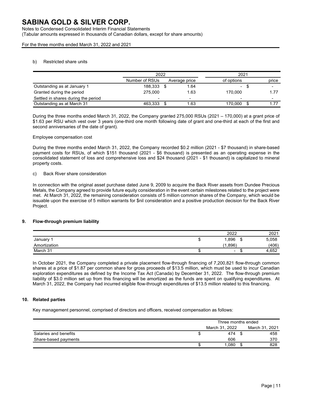## Notes to Condensed Consolidated Interim Financial Statements

(Tabular amounts expressed in thousands of Canadian dollars, except for share amounts)

For the three months ended March 31, 2022 and 2021

#### b) Restricted share units

|                                     | 2022           |                          |            | 2021   |  |                          |  |
|-------------------------------------|----------------|--------------------------|------------|--------|--|--------------------------|--|
|                                     | Number of RSUs | Average price            | of options |        |  | price                    |  |
| Outstanding as at January 1         | 188,333        | 1.64                     |            | $\sim$ |  | $\overline{\phantom{0}}$ |  |
| Granted during the period           | 275.000        | 1.63                     | 170.000    |        |  | 1.77                     |  |
| Settled in shares during the period |                | $\overline{\phantom{0}}$ |            |        |  | ۰                        |  |
| Outstanding as at March 31          | 463.333        | 1.63                     | 170.000    |        |  | 1.77                     |  |

During the three months ended March 31, 2022, the Company granted 275,000 RSUs (2021 – 170,000) at a grant price of \$1.63 per RSU which vest over 3 years (one-third one month following date of grant and one-third at each of the first and second anniversaries of the date of grant).

#### Employee compensation cost

During the three months ended March 31, 2022, the Company recorded \$0.2 million (2021 - \$7 thousand) in share-based payment costs for RSUs, of which \$151 thousand (2021 - \$6 thousand) is presented as an operating expense in the consolidated statement of loss and comprehensive loss and \$24 thousand (2021 - \$1 thousand) is capitalized to mineral property costs.

#### c) Back River share consideration

In connection with the original asset purchase dated June 9, 2009 to acquire the Back River assets from Dundee Precious Metals, the Company agreed to provide future equity consideration in the event certain milestones related to the project were met. At March 31, 2022, the remaining consideration consists of 5 million common shares of the Company, which would be issuable upon the exercise of 5 million warrants for \$nil consideration and a positive production decision for the Back River Project.

#### **9. Flow-through premium liability**

|              |    | 2022                     |    | 2021  |
|--------------|----|--------------------------|----|-------|
| January      | u  | .896                     | ۰D | 5,058 |
| Amortization |    | 0.896<br>้ฯ              |    | (406) |
| March 31     | ιn | $\overline{\phantom{0}}$ |    | 4,652 |

In October 2021, the Company completed a private placement flow-through financing of 7,200,821 flow-through common shares at a price of \$1.87 per common share for gross proceeds of \$13.5 million, which must be used to incur Canadian exploration expenditures as defined by the Income Tax Act (Canada) by December 31, 2022. The flow-through premium liability of \$3.0 million set up from this financing will be amortized as the funds are spent on qualifying expenditures. At March 31, 2022, the Company had incurred eligible flow-through expenditures of \$13.5 million related to this financing.

#### **10. Related parties**

Key management personnel, comprised of directors and officers, received compensation as follows:

|                       |    | Three months ended |                |
|-----------------------|----|--------------------|----------------|
|                       |    | March 31, 2022     | March 31, 2021 |
| Salaries and benefits | J  | 474                | 458            |
| Share-based payments  |    | 606                | 370            |
|                       | ۰D | 1.080              | 828            |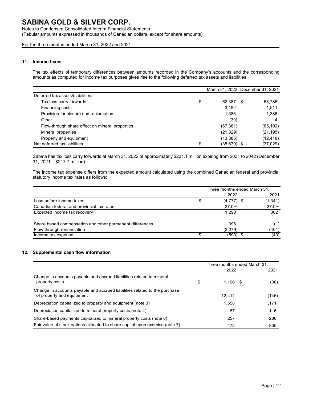Notes to Condensed Consolidated Interim Financial Statements (Tabular amounts expressed in thousands of Canadian dollars, except for share amounts)

For the three months ended March 31, 2022 and 2021

#### **11. Income taxes**

The tax effects of temporary differences between amounts recorded in the Company's accounts and the corresponding amounts as computed for income tax purposes gives rise to the following deferred tax assets and liabilities:

|                                                 |              | March 31, 2022 December 31, 2021 |
|-------------------------------------------------|--------------|----------------------------------|
| Deferred tax assets/(liabilities)               |              |                                  |
| Tax loss carry forwards                         | \$<br>62,387 | 58.785<br>- \$                   |
| Financing costs                                 | 3.182        | 1,511                            |
| Provision for closure and reclamation           | 1,386        | 1.386                            |
| Other                                           | (39)         | 4                                |
| Flow-through share effect on mineral properties | (67, 381)    | (65, 102)                        |
| Mineral properties                              | (21, 829)    | (21, 195)                        |
| Property and equipment                          | (13, 385)    | (12,418)                         |
| Net deferred tax liabilities                    | (35,679) \$  | (37,029)                         |

Sabina has tax loss carry forwards at March 31, 2022 of approximately \$231.1 million expiring from 2031 to 2042 (December 31, 2021 – \$217.7 million).

The income tax expense differs from the expected amount calculated using the combined Canadian federal and provincial statutory income tax rates as follows:

|                                                          | Three months ended March 31, |          |
|----------------------------------------------------------|------------------------------|----------|
|                                                          | 2022                         | 2021     |
| Loss before income taxes                                 | \$<br>$(4,777)$ \$           | (1, 341) |
| Canadian federal and provincial tax rates                | 27.0%                        | 27.0%    |
| Expected income tax recovery                             | 1.290                        | 362      |
| Share based compensation and other permanent differences | 396                          | (1)      |
| Flow-through renunciation                                | (2,279)                      | (401)    |
| Income tax expense                                       | $(593)$ \$                   | (40)     |

### **12. Supplemental cash flow information**

|                                                                                                         | Three months ended March 31, |       |
|---------------------------------------------------------------------------------------------------------|------------------------------|-------|
|                                                                                                         | 2022                         | 2021  |
| Change in accounts payable and accrued liabilities related to mineral<br>property costs                 | \$<br>$1,166$ \$             | (36)  |
| Change in accounts payable and accrued liabilities related to the purchase<br>of property and equipment | 12.414                       | (146) |
| Depreciation capitalized to property and equipment (note 3)                                             | 1,558                        | 1,171 |
| Depreciation capitalized to mineral property costs (note 4)                                             | 87                           | 116   |
| Share-based payments capitalized to mineral property costs (note 8)                                     | 257                          | 280   |
| Fair value of stock options allocated to share capital upon exercise (note 7)                           | 472                          | 805   |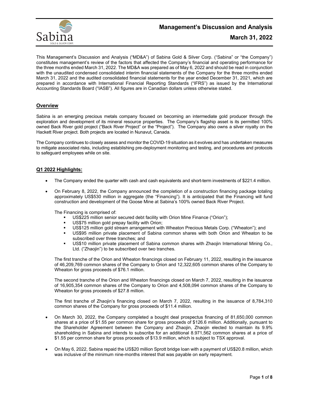

## **Management's Discussion and Analysis**

This Management's Discussion and Analysis ("MD&A") of Sabina Gold & Silver Corp. ("Sabina" or "the Company") constitutes management's review of the factors that affected the Company's financial and operating performance for the three months ended March 31, 2022. The MD&A was prepared as of May 6, 2022 and should be read in conjunction with the unaudited condensed consolidated interim financial statements of the Company for the three months ended March 31, 2022 and the audited consolidated financial statements for the year ended December 31, 2021, which are prepared in accordance with International Financial Reporting Standards ("IFRS") as issued by the International Accounting Standards Board ("IASB"). All figures are in Canadian dollars unless otherwise stated.

## **Overview**

Sabina is an emerging precious metals company focused on becoming an intermediate gold producer through the exploration and development of its mineral resource properties. The Company's flagship asset is its permitted 100% owned Back River gold project ("Back River Project" or the "Project"). The Company also owns a silver royalty on the Hackett River project. Both projects are located in Nunavut, Canada.

The Company continues to closely assess and monitor the COVID-19 situation as it evolves and has undertaken measures to mitigate associated risks, including establishing pre-deployment monitoring and testing, and procedures and protocols to safeguard employees while on site.

### **Q1 2022 Highlights:**

- The Company ended the quarter with cash and cash equivalents and short-term investments of \$221.4 million.
- On February 8, 2022, the Company announced the completion of a construction financing package totaling approximately US\$530 million in aggregate (the "Financing"). It is anticipated that the Financing will fund construction and development of the Goose Mine at Sabina's 100% owned Back River Project.

The Financing is comprised of:

- US\$225 million senior secured debt facility with Orion Mine Finance ("Orion");
- US\$75 million gold prepay facility with Orion;
- US\$125 million gold stream arrangement with Wheaton Precious Metals Corp. ("Wheaton"); and
- US\$95 million private placement of Sabina common shares with both Orion and Wheaton to be subscribed over three tranches; and
- US\$10 million private placement of Sabina common shares with Zhaojin International Mining Co., Ltd. ("Zhaojin") to be subscribed over two tranches.

The first tranche of the Orion and Wheaton financings closed on February 11, 2022, resulting in the issuance of 46,209,769 common shares of the Company to Orion and 12,322,605 common shares of the Company to Wheaton for gross proceeds of \$76.1 million.

The second tranche of the Orion and Wheaton financings closed on March 7, 2022, resulting in the issuance of 16,905,354 common shares of the Company to Orion and 4,508,094 common shares of the Company to Wheaton for gross proceeds of \$27.8 million.

The first tranche of Zhaojin's financing closed on March 7, 2022, resulting in the issuance of 8,784,310 common shares of the Company for gross proceeds of \$11.4 million.

- On March 30, 2022, the Company completed a bought deal prospectus financing of 81,650,000 common shares at a price of \$1.55 per common share for gross proceeds of \$126.6 million. Additionally, pursuant to the Shareholder Agreement between the Company and Zhaojin, Zhaojin elected to maintain its 9.9% shareholding in Sabina and intends to subscribe for an additional 8.971,562 common shares at a price of \$1.55 per common share for gross proceeds of \$13.9 million, which is subject to TSX approval.
- On May 6, 2022, Sabina repaid the US\$20 million Sprott bridge loan with a payment of US\$20.8 million, which was inclusive of the minimum nine-months interest that was payable on early repayment.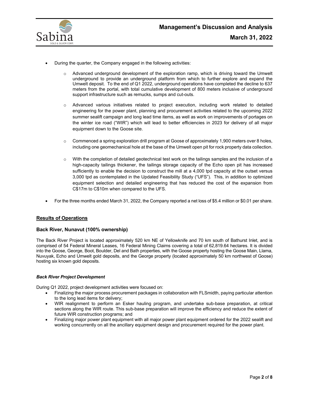

- During the quarter, the Company engaged in the following activities:
	- $\circ$  Advanced underground development of the exploration ramp, which is driving toward the Umwelt underground to provide an underground platform from which to further explore and expand the Umwelt deposit. To the end of Q1 2022, underground operations have completed the decline to 637 meters from the portal, with total cumulative development of 800 meters inclusive of underground support infrastructure such as remucks, sumps and cut-outs.
	- o Advanced various initiatives related to project execution, including work related to detailed engineering for the power plant, planning and procurement activities related to the upcoming 2022 summer sealift campaign and long lead time items, as well as work on improvements of portages on the winter ice road ("WIR") which will lead to better efficiencies in 2023 for delivery of all major equipment down to the Goose site.
	- $\circ$  Commenced a spring exploration drill program at Goose of approximately 1,900 meters over 8 holes, including one geomechanical hole at the base of the Umwelt open pit for rock property data collection.
	- o With the completion of detailed geotechnical test work on the tailings samples and the inclusion of a high-capacity tailings thickener, the tailings storage capacity of the Echo open pit has increased sufficiently to enable the decision to construct the mill at a 4,000 tpd capacity at the outset versus 3,000 tpd as contemplated in the Updated Feasibility Study ("UFS"). This, in addition to optimized equipment selection and detailed engineering that has reduced the cost of the expansion from C\$17m to C\$10m when compared to the UFS.
- For the three months ended March 31, 2022, the Company reported a net loss of \$5.4 million or \$0.01 per share.

### **Results of Operations**

#### **Back River, Nunavut (100% ownership)**

The Back River Project is located approximately 520 km NE of Yellowknife and 70 km south of Bathurst Inlet, and is comprised of 54 Federal Mineral Leases, 16 Federal Mining Claims covering a total of 62,819.64 hectares. It is divided into the Goose, George, Boot, Boulder, Del and Bath properties, with the Goose property hosting the Goose Main, Llama, Nuvuyak, Echo and Umwelt gold deposits, and the George property (located approximately 50 km northwest of Goose) hosting six known gold deposits.

#### *Back River Project Development*

During Q1 2022, project development activities were focused on:

- Finalizing the major process procurement packages in collaboration with FLSmidth, paying particular attention to the long lead items for delivery;
- WIR realignment to perform an Esker hauling program, and undertake sub-base preparation, at critical sections along the WIR route. This sub-base preparation will improve the efficiency and reduce the extent of future WIR construction programs; and
- Finalizing major power plant equipment with all major power plant equipment ordered for the 2022 sealift and working concurrently on all the ancillary equipment design and procurement required for the power plant.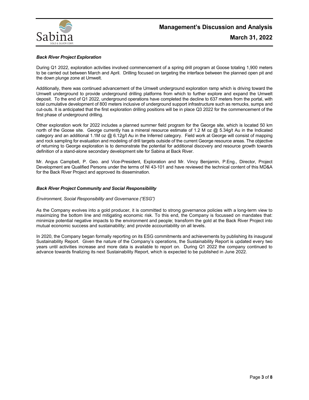

#### *Back River Project Exploration*

During Q1 2022, exploration activities involved commencement of a spring drill program at Goose totaling 1,900 meters to be carried out between March and April. Drilling focused on targeting the interface between the planned open pit and the down plunge zone at Umwelt.

Additionally, there was continued advancement of the Umwelt underground exploration ramp which is driving toward the Umwelt underground to provide underground drilling platforms from which to further explore and expand the Umwelt deposit. To the end of Q1 2022, underground operations have completed the decline to 637 meters from the portal, with total cumulative development of 800 meters inclusive of underground support infrastructure such as remucks, sumps and cut-outs. It is anticipated that the first exploration drilling positions will be in place Q3 2022 for the commencement of the first phase of underground drilling.

Other exploration work for 2022 includes a planned summer field program for the George site, which is located 50 km north of the Goose site. George currently has a mineral resource estimate of 1.2 M oz @ 5.34g/t Au in the Indicated category and an additional 1.1M oz @ 6.12g/t Au in the Inferred category. Field work at George will consist of mapping and rock sampling for evaluation and modeling of drill targets outside of the current George resource areas. The objective of returning to George exploration is to demonstrate the potential for additional discovery and resource growth towards definition of a stand-alone secondary development site for Sabina at Back River.

Mr. Angus Campbell, P. Geo. and Vice-President, Exploration and Mr. Vincy Benjamin, P.Eng., Director, Project Development are Qualified Persons under the terms of NI 43-101 and have reviewed the technical content of this MD&A for the Back River Project and approved its dissemination.

#### *Back River Project Community and Social Responsibility*

#### *Environment, Social Responsibility and Governance ("ESG")*

As the Company evolves into a gold producer, it is committed to strong governance policies with a long-term view to maximizing the bottom line and mitigating economic risk. To this end, the Company is focussed on mandates that: minimize potential negative impacts to the environment and people; transform the gold at the Back River Project into mutual economic success and sustainability; and provide accountability on all levels.

In 2020, the Company began formally reporting on its ESG commitments and achievements by publishing its inaugural Sustainability Report. Given the nature of the Company's operations, the Sustainability Report is updated every two years until activities increase and more data is available to report on. During Q1 2022 the company continued to advance towards finalizing its next Sustainability Report, which is expected to be published in June 2022.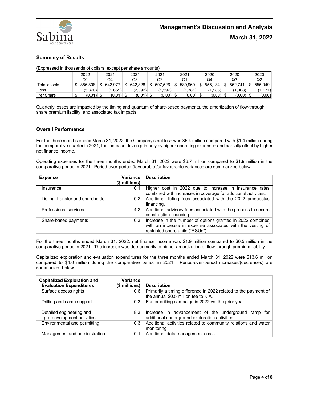

## **Summary of Results**

(Expressed in thousands of dollars, except per share amounts)

|              |    | 2022    |      | 2021        |     | 2021    | 2021    | 2021    | 2020     | 2020    | 2020    |
|--------------|----|---------|------|-------------|-----|---------|---------|---------|----------|---------|---------|
|              |    |         |      | Q4          |     | Q3      | Q2      | Q1      | Q4       | Q3      | Q2      |
| Total assets | S  | 886.808 |      | 643.977     | \$. | 642.828 | 597,526 | 589.960 | 555.134  | 562.741 | 555.049 |
| Loss         |    | (5.370) |      | (2,659)     |     | (2,392) | .597)   | (1,381) | (1, 186) | (1,008) | (1,171) |
| Per Share    | ۰D | (0.01)  | - \$ | $(0.01)$ \$ |     | (0.01)  | (0.00)  | (0.00)  | (0.00)   | (0.00)  | (0.00)  |

Quarterly losses are impacted by the timing and quantum of share-based payments, the amortization of flow-through share premium liability, and associated tax impacts.

### **Overall Performance**

For the three months ended March 31, 2022, the Company's net loss was \$5.4 million compared with \$1.4 million during the comparative quarter in 2021, the increase driven primarily by higher operating expenses and partially offset by higher net finance income.

Operating expenses for the three months ended March 31, 2022 were \$6.7 million compared to \$1.9 million in the comparative period in 2021. Period-over-period (favourable)/unfavourable variances are summarized below:

| <b>Expense</b>                    | <b>Variance</b><br>(\$ millions) | <b>Description</b>                                                                                                                                           |
|-----------------------------------|----------------------------------|--------------------------------------------------------------------------------------------------------------------------------------------------------------|
| Insurance                         | 0.1                              | Higher cost in 2022 due to increase in insurance rates<br>combined with increases in coverage for additional activities.                                     |
| Listing, transfer and shareholder | 0.2                              | Additional listing fees associated with the 2022 prospectus<br>financing.                                                                                    |
| Professional services             | 4.2                              | Additional advisory fees associated with the process to secure<br>construction financing.                                                                    |
| Share-based payments              | 0.3                              | Increase in the number of options granted in 2022 combined<br>with an increase in expense associated with the vesting of<br>restricted share units ("RSUs"). |

For the three months ended March 31, 2022, net finance income was \$1.9 million compared to \$0.5 million in the comparative period in 2021. The increase was due primarily to higher amortization of flow-through premium liability.

Capitalized exploration and evaluation expenditures for the three months ended March 31, 2022 were \$13.6 million compared to \$4.0 million during the comparative period in 2021. Period-over-period increases/(decreases) are summarized below:

| <b>Capitalized Exploration and</b><br><b>Evaluation Expenditures</b> | Variance<br>(\$ millions) | <b>Description</b>                                                                                         |
|----------------------------------------------------------------------|---------------------------|------------------------------------------------------------------------------------------------------------|
| Surface access rights                                                | 0.6                       | Primarily a timing difference in 2022 related to the payment of<br>the annual \$0.5 million fee to KIA.    |
| Drilling and camp support                                            | 0.3                       | Earlier drilling campaign in 2022 vs. the prior year.                                                      |
| Detailed engineering and<br>pre-development activities               | 8.3                       | Increase in advancement of the underground ramp<br>for l<br>additional underground exploration activities. |
| Environmental and permitting                                         | 0.3                       | Additional activities related to community relations and water<br>monitoring                               |
| Management and administration                                        | 0.1                       | Additional data management costs                                                                           |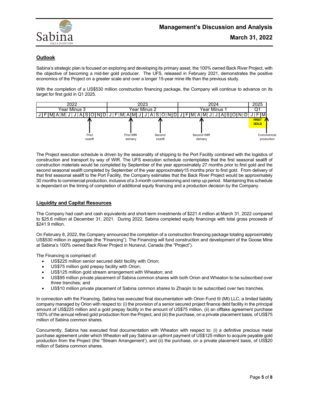

## **Outlook**

Sabina's strategic plan is focused on exploring and developing its primary asset, the 100% owned Back River Project, with the objective of becoming a mid-tier gold producer. The UFS, released in February 2021, demonstrates the positive economics of the Project on a greater scale and over a longer 15-year mine life than the previous study.

With the completion of a US\$530 million construction financing package, the Company will continue to advance on its target for first gold in Q1 2025.



The Project execution schedule is driven by the seasonality of shipping to the Port Facility combined with the logistics of construction and transport by way of WIR. The UFS execution schedule contemplates that the first seasonal sealift of construction materials would be completed by September of the year approximately 27 months prior to first gold and the second seasonal sealift completed by September of the year approximately15 months prior to first gold. From delivery of that first seasonal sealift to the Port Facility, the Company estimates that the Back River Project would be approximately 30 months to commercial production, inclusive of a 3-month commissioning and ramp up period. Maintaining this schedule is dependant on the timing of completion of additional equity financing and a production decision by the Company.

### **Liquidity and Capital Resources**

The Company had cash and cash equivalents and short-term investments of \$221.4 million at March 31, 2022 compared to \$25.6 million at December 31, 2021. During 2022, Sabina completed equity financings with total gross proceeds of \$241.9 million.

On February 8, 2022, the Company announced the completion of a construction financing package totaling approximately US\$530 million in aggregate (the "Financing"). The Financing will fund construction and development of the Goose Mine at Sabina's 100% owned Back River Project in Nunavut, Canada (the "Project").

The Financing is comprised of:

- US\$225 million senior secured debt facility with Orion;
- US\$75 million gold prepay facility with Orion;
- US\$125 million gold stream arrangement with Wheaton; and
- US\$95 million private placement of Sabina common shares with both Orion and Wheaton to be subscribed over three tranches; and
- US\$10 million private placement of Sabina common shares to Zhaojin to be subscribed over two tranches.

In connection with the Financing, Sabina has executed final documentation with Orion Fund III (Mt) LLC, a limited liability company managed by Orion with respect to: (i) the provision of a senior secured project finance debt facility in the principal amount of US\$225 million and a gold prepay facility in the amount of US\$75 million, (ii) an offtake agreement purchase 100% of the annual refined gold production from the Project, and (iii) the purchase, on a private placement basis, of US\$75 million of Sabina common shares.

Concurrently, Sabina has executed final documentation with Wheaton with respect to: (i) a definitive precious metal purchase agreement under which Wheaton will pay Sabina an upfront payment of US\$125 million to acquire payable gold production from the Project (the "Stream Arrangement'), and (ii) the purchase, on a private placement basis, of US\$20 million of Sabina common shares.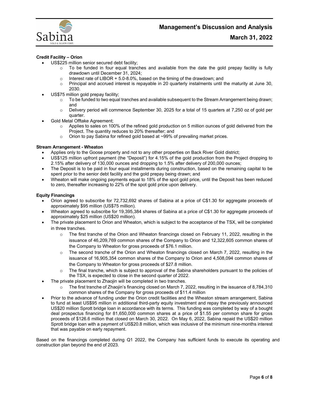

### **Credit Facility – Orion**

- US\$225 million senior secured debt facility:
	- $\circ$  To be funded in four equal tranches and available from the date the gold prepay facility is fully drawdown until December 31, 2024;
	- $\circ$  Interest rate of LIBOR + 5.0-8.0%, based on the timing of the drawdown; and  $\circ$  Principal and accrued interest is repavable in 20 quarterly instalments until t
	- Principal and accrued interest is repayable in 20 quarterly instalments until the maturity at June 30, 2030.
- US\$75 million gold prepay facility;
	- $\circ$  To be funded to two equal tranches and available subsequent to the Stream Arrangement being drawn; and
	- o Delivery period will commence September 30, 2025 for a total of 15 quarters at 7,250 oz of gold per quarter.
- Gold Metal Offtake Agreement;
	- $\circ$  Applies to sales on 100% of the refined gold production on 5 million ounces of gold delivered from the Project. The quantity reduces to 20% thereafter; and
	- $\circ$  Orion to pay Sabina for refined gold based at ~99% of prevailing market prices.

#### **Stream Arrangement - Wheaton**

- Applies only to the Goose property and not to any other properties on Back River Gold district;
- US\$125 million upfront payment (the "Deposit") for 4.15% of the gold production from the Project dropping to 2.15% after delivery of 130,000 ounces and dropping to 1.5% after delivery of 200,000 ounces;
- The Deposit is to be paid in four equal installments during construction, based on the remaining capital to be spent prior to the senior debt facility and the gold prepay being drawn; and
- Wheaton will make ongoing payments equal to 18% of the spot gold price, until the Deposit has been reduced to zero, thereafter increasing to 22% of the spot gold price upon delivery.

#### **Equity Financings**

- Orion agreed to subscribe for 72,732,692 shares of Sabina at a price of C\$1.30 for aggregate proceeds of approximately \$95 million (US\$75 million).
- Wheaton agreed to subscribe for 19,395,384 shares of Sabina at a price of C\$1.30 for aggregate proceeds of approximately \$25 million (US\$20 million).
- The private placement to Orion and Wheaton, which is subject to the acceptance of the TSX, will be completed in three tranches.
	- $\circ$  The first tranche of the Orion and Wheaton financings closed on February 11, 2022, resulting in the issuance of 46,209,769 common shares of the Company to Orion and 12,322,605 common shares of the Company to Wheaton for gross proceeds of \$76.1 million.
	- $\circ$  The second tranche of the Orion and Wheaton financings closed on March 7, 2022, resulting in the issuance of 16,905,354 common shares of the Company to Orion and 4,508,094 common shares of the Company to Wheaton for gross proceeds of \$27.8 million.
	- o The final tranche, which is subject to approval of the Sabina shareholders pursuant to the policies of the TSX, is expected to close in the second quarter of 2022.
	- The private placement to Zhaojin will be completed in two tranches.
		- $\circ$  The first tranche of Zhaojin's financing closed on March 7, 2022, resulting in the issuance of 8,784,310 common shares of the Company for gross proceeds of \$11.4 million
- Prior to the advance of funding under the Orion credit facilities and the Wheaton stream arrangement, Sabina to fund at least US\$95 million in additional third-party equity investment and repay the previously announced US\$20 million Sprott bridge loan in accordance with its terms. This funding was completed by way of a bought deal prospectus financing for 81,650,000 common shares at a price of \$1.55 per common share for gross proceeds of \$126.6 million that closed on March 30, 2022. On May 6, 2022, Sabina repaid the US\$20 million Sprott bridge loan with a payment of US\$20.8 million, which was inclusive of the minimum nine-months interest that was payable on early repayment.

Based on the financings completed during Q1 2022, the Company has sufficient funds to execute its operating and construction plan beyond the end of 2023.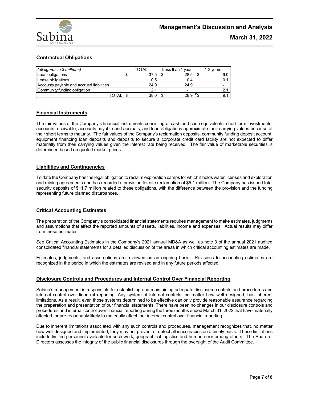

## **Contractual Obligations**

| (all figures in $$$ millions)            |    | <b>TOTAL</b> | Less than 1 year | 1-3 years |
|------------------------------------------|----|--------------|------------------|-----------|
| Loan obligations                         | ۰D | 37.5         | 28.5             | 9.0       |
| Lease obligations                        |    | 0.5          | 0.4              | 0.1       |
| Accounts payable and accrued liabilities |    | 24.9         | 24.9             |           |
| Community funding obligation             |    | 21           | -                | 2.1       |
| OTAL.                                    |    | 38.0         | 28.9             | 9.1       |

## **Financial Instruments**

The fair values of the Company's financial instruments consisting of cash and cash equivalents, short-term investments, accounts receivable, accounts payable and accruals, and loan obligations approximate their carrying values because of their short terms to maturity. The fair values of the Company's reclamation deposits, community funding deposit account, equipment financing loan deposits and deposits to secure a corporate credit card facility are not expected to differ materially from their carrying values given the interest rate being received. The fair value of marketable securities is determined based on quoted market prices.

### **Liabilities and Contingencies**

To date the Company has the legal obligation to reclaim exploration camps for which it holds water licenses and exploration and mining agreements and has recorded a provision for site reclamation of \$5.1 million. The Company has issued total security deposits of \$11.7 million related to these obligations, with the difference between the provision and the funding representing future planned disturbances.

### **Critical Accounting Estimates**

The preparation of the Company's consolidated financial statements requires management to make estimates, judgments and assumptions that affect the reported amounts of assets, liabilities, income and expenses. Actual results may differ from these estimates.

See Critical Accounting Estimates in the Company's 2021 annual MD&A as well as note 3 of the annual 2021 audited consolidated financial statements for a detailed discussion of the areas in which critical accounting estimates are made.

Estimates, judgments, and assumptions are reviewed on an ongoing basis. Revisions to accounting estimates are recognized in the period in which the estimates are revised and in any future periods affected.

### **Disclosure Controls and Procedures and Internal Control Over Financial Reporting**

Sabina's management is responsible for establishing and maintaining adequate disclosure controls and procedures and internal control over financial reporting. Any system of internal controls, no matter how well designed, has inherent limitations. As a result, even those systems determined to be effective can only provide reasonable assurance regarding the preparation and presentation of our financial statements. There have been no changes in our disclosure controls and procedures and internal control over financial reporting during the three months ended March 31, 2022 that have materially affected, or are reasonably likely to materially affect, our internal control over financial reporting.

Due to inherent limitations associated with any such controls and procedures, management recognizes that, no matter how well designed and implemented, they may not prevent or detect all inaccuracies on a timely basis. These limitations include limited personnel available for such work, geographical logistics and human error among others. The Board of Directors assesses the integrity of the public financial disclosures through the oversight of the Audit Committee.